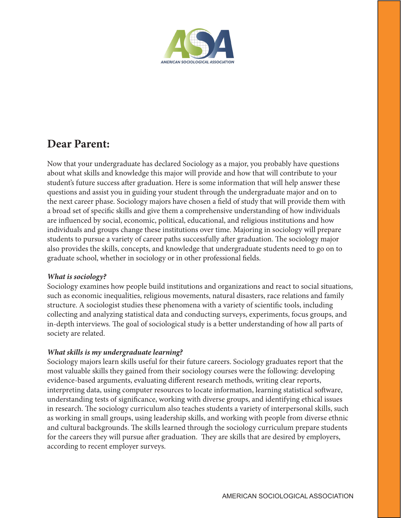

# **Dear Parent:**

Now that your undergraduate has declared Sociology as a major, you probably have questions about what skills and knowledge this major will provide and how that will contribute to your student's future success after graduation. Here is some information that will help answer these questions and assist you in guiding your student through the undergraduate major and on to the next career phase. Sociology majors have chosen a field of study that will provide them with a broad set of specific skills and give them a comprehensive understanding of how individuals are influenced by social, economic, political, educational, and religious institutions and how individuals and groups change these institutions over time. Majoring in sociology will prepare students to pursue a variety of career paths successfully after graduation. The sociology major also provides the skills, concepts, and knowledge that undergraduate students need to go on to graduate school, whether in sociology or in other professional fields.

### *What is sociology?*

Sociology examines how people build institutions and organizations and react to social situations, such as economic inequalities, religious movements, natural disasters, race relations and family structure. A sociologist studies these phenomena with a variety of scientific tools, including collecting and analyzing statistical data and conducting surveys, experiments, focus groups, and in-depth interviews. The goal of sociological study is a better understanding of how all parts of society are related.

## *What skills is my undergraduate learning?*

Sociology majors learn skills useful for their future careers. Sociology graduates report that the most valuable skills they gained from their sociology courses were the following: developing evidence-based arguments, evaluating different research methods, writing clear reports, interpreting data, using computer resources to locate information, learning statistical software, understanding tests of significance, working with diverse groups, and identifying ethical issues in research. The sociology curriculum also teaches students a variety of interpersonal skills, such as working in small groups, using leadership skills, and working with people from diverse ethnic and cultural backgrounds. The skills learned through the sociology curriculum prepare students for the careers they will pursue after graduation. They are skills that are desired by employers, according to recent employer surveys.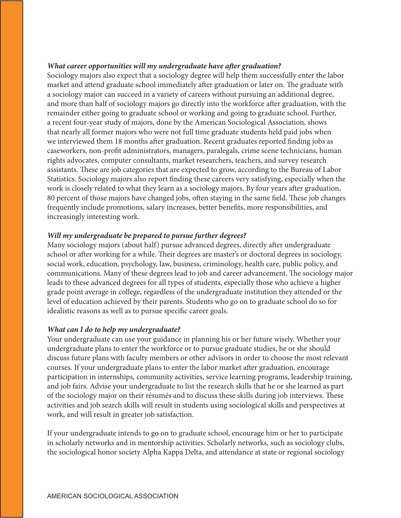#### *What career opportunities will my undergraduate have after graduation?*

Sociology majors also expect that a sociology degree will help them successfully enter the labor market and attend graduate school immediately after graduation or later on. The graduate with a sociology major can succeed in a variety of careers without pursuing an additional degree, and more than half of sociology majors go directly into the workforce after graduation, with the remainder either going to graduate school or working and going to graduate school. Further, a recent four-year study of majors, done by the American Sociological Association, shows that nearly all former majors who were not full time graduate students held paid jobs when we interviewed them 18 months after graduation. Recent graduates reported finding jobs as caseworkers, non-profit administrators, managers, paralegals, crime scene technicians, human rights advocates, computer consultants, market researchers, teachers, and survey research assistants. These are job categories that are expected to grow, according to the Bureau of Labor Statistics. Sociology majors also report finding these careers very satisfying, especially when the work is closely related to what they learn as a sociology majors. By four years after graduation, 80 percent of those majors have changed jobs, often staying in the same field. These job changes frequently include promotions, salary increases, better benefits, more responsibilities, and increasingly interesting work.

#### *Will my undergraduate be prepared to pursue further degrees?*

Many sociology majors (about half) pursue advanced degrees, directly after undergraduate school or after working for a while. Their degrees are master's or doctoral degrees in sociology, social work, education, psychology, law, business, criminology, health care, public policy, and communications. Many of these degrees lead to job and career advancement. The sociology major leads to these advanced degrees for all types of students, especially those who achieve a higher grade point average in college, regardless of the undergraduate institution they attended or the level of education achieved by their parents. Students who go on to graduate school do so for idealistic reasons as well as to pursue specific career goals.

#### *What can I do to help my undergraduate?*

Your undergraduate can use your guidance in planning his or her future wisely. Whether your undergraduate plans to enter the workforce or to pursue graduate studies, he or she should discuss future plans with faculty members or other advisors in order to choose the most relevant courses. If your undergraduate plans to enter the labor market after graduation, encourage participation in internships, community activities, service learning programs, leadership training, and job fairs. Advise your undergraduate to list the research skills that he or she learned as part of the sociology major on their résumés and to discuss these skills during job interviews. These activities and job search skills will result in students using sociological skills and perspectives at work, and will result in greater job satisfaction.

If your undergraduate intends to go on to graduate school, encourage him or her to participate in scholarly networks and in mentorship activities. Scholarly networks, such as sociology clubs, the sociological honor society Alpha Kappa Delta, and attendance at state or regional sociology